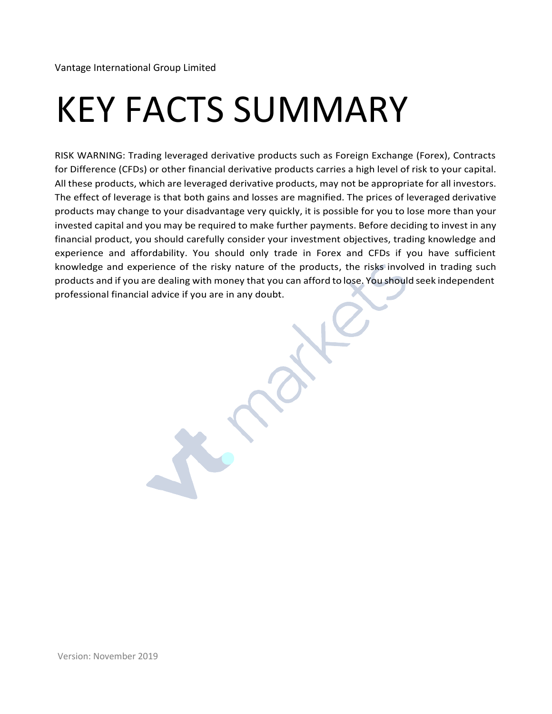Vantage International Group Limited

# KEY FACTS SUMMARY

RISK WARNING: Trading leveraged derivative products such as Foreign Exchange (Forex), Contracts for Difference (CFDs) or other financial derivative products carries a high level of risk to your capital. All these products, which are leveraged derivative products, may not be appropriate for all investors. The effect of leverage is that both gains and losses are magnified. The prices of leveraged derivative products may change to your disadvantage very quickly, it is possible for you to lose more than your invested capital and you may be required to make further payments. Before deciding to invest in any financial product, you should carefully consider your investment objectives, trading knowledge and experience and affordability. You should only trade in Forex and CFDs if you have sufficient knowledge and experience of the risky nature of the products, the risks involved in trading such products and if you are dealing with money that you can afford to lose. You should seek independent professional financial advice if you are in any doubt.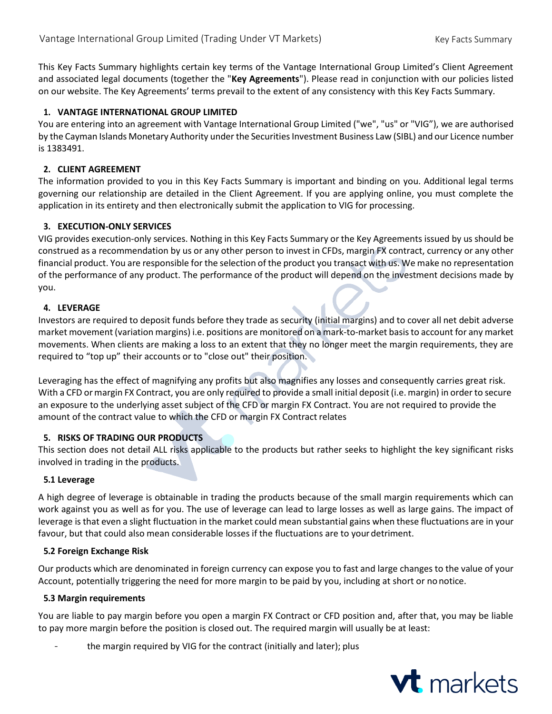This Key Facts Summary highlights certain key terms of the Vantage International Group Limited's Client Agreement and associated legal documents (together the "**Key Agreements**"). Please read in conjunction with our policies listed on our website. The Key Agreements' terms prevail to the extent of any consistency with this Key Facts Summary.

## **1. VANTAGE INTERNATIONAL GROUP LIMITED**

You are entering into an agreement with Vantage International Group Limited ("we", "us" or "VIG"), we are authorised by the Cayman Islands Monetary Authority under the Securities Investment Business Law (SIBL) and our Licence number is 1383491.

### **2. CLIENT AGREEMENT**

The information provided to you in this Key Facts Summary is important and binding on you. Additional legal terms governing our relationship are detailed in the Client Agreement. If you are applying online, you must complete the application in its entirety and then electronically submit the application to VIG for processing.

#### **3. EXECUTION-ONLY SERVICES**

VIG provides execution-only services. Nothing in this Key Facts Summary or the Key Agreements issued by us should be construed as a recommendation by us or any other person to invest in CFDs, margin FX contract, currency or any other financial product. You are responsible for the selection of the product you transact with us. We make no representation of the performance of any product. The performance of the product will depend on the investment decisions made by you.

## **4. LEVERAGE**

Investors are required to deposit funds before they trade as security (initial margins) and to cover all net debit adverse market movement (variation margins) i.e. positions are monitored on a mark-to-market basisto account for any market movements. When clients are making a loss to an extent that they no longer meet the margin requirements, they are required to "top up" their accounts or to "close out" their position.

Leveraging has the effect of magnifying any profits but also magnifies any losses and consequently carries great risk. With a CFD ormargin FX Contract, you are only required to provide a small initial deposit (i.e. margin) in order to secure an exposure to the underlying asset subject of the CFD or margin FX Contract. You are not required to provide the amount of the contract value to which the CFD or margin FX Contract relates

#### **5. RISKS OF TRADING OUR PRODUCTS**

This section does not detail ALL risks applicable to the products but rather seeks to highlight the key significant risks involved in trading in the products.

#### **5.1 Leverage**

A high degree of leverage is obtainable in trading the products because of the small margin requirements which can work against you as well as for you. The use of leverage can lead to large losses as well as large gains. The impact of leverage is that even a slight fluctuation in the market could mean substantial gains when these fluctuations are in your favour, but that could also mean considerable losses if the fluctuations are to yourdetriment.

#### **5.2 Foreign Exchange Risk**

Our products which are denominated in foreign currency can expose you to fast and large changes to the value of your Account, potentially triggering the need for more margin to be paid by you, including at short or no notice.

#### **5.3 Margin requirements**

You are liable to pay margin before you open a margin FX Contract or CFD position and, after that, you may be liable to pay more margin before the position is closed out. The required margin will usually be at least:

the margin required by VIG for the contract (initially and later); plus

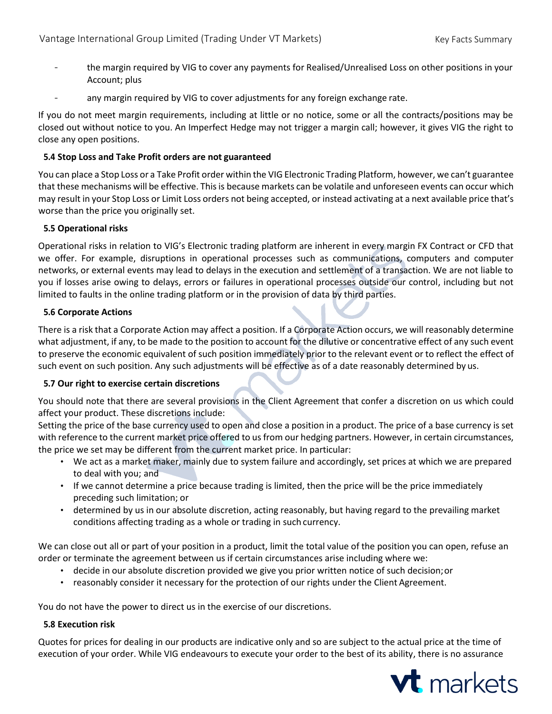- the margin required by VIG to cover any payments for Realised/Unrealised Loss on other positions in your Account; plus
- any margin required by VIG to cover adjustments for any foreign exchange rate.

If you do not meet margin requirements, including at little or no notice, some or all the contracts/positions may be closed out without notice to you. An Imperfect Hedge may not trigger a margin call; however, it gives VIG the right to close any open positions.

## **5.4 Stop Loss and Take Profit orders are not guaranteed**

You can place a Stop Loss or a Take Profit order within the VIG Electronic Trading Platform, however, we can't guarantee that these mechanisms will be effective. Thisis because markets can be volatile and unforeseen events can occur which may result in your Stop Loss or Limit Loss orders not being accepted, or instead activating at a next available price that's worse than the price you originally set.

## **5.5 Operational risks**

Operational risks in relation to VIG's Electronic trading platform are inherent in every margin FX Contract or CFD that we offer. For example, disruptions in operational processes such as communications, computers and computer networks, or external events may lead to delays in the execution and settlement of a transaction. We are not liable to you if losses arise owing to delays, errors or failures in operational processes outside our control, including but not limited to faults in the online trading platform or in the provision of data by third parties.

#### **5.6 Corporate Actions**

There is a risk that a Corporate Action may affect a position. If a Corporate Action occurs, we will reasonably determine what adjustment, if any, to be made to the position to account for the dilutive or concentrative effect of any such event to preserve the economic equivalent of such position immediately prior to the relevant event or to reflect the effect of such event on such position. Any such adjustments will be effective as of a date reasonably determined by us.

## **5.7 Our right to exercise certain discretions**

You should note that there are several provisions in the Client Agreement that confer a discretion on us which could affect your product. These discretions include:

Setting the price of the base currency used to open and close a position in a product. The price of a base currency is set with reference to the current market price offered to us from our hedging partners. However, in certain circumstances, the price we set may be different from the current market price. In particular:

- We act as a market maker, mainly due to system failure and accordingly, set prices at which we are prepared to deal with you; and
- If we cannot determine a price because trading is limited, then the price will be the price immediately preceding such limitation; or
- determined by us in our absolute discretion, acting reasonably, but having regard to the prevailing market conditions affecting trading as a whole or trading in such currency.

We can close out all or part of your position in a product, limit the total value of the position you can open, refuse an order or terminate the agreement between us if certain circumstances arise including where we:

- decide in our absolute discretion provided we give you prior written notice of such decision;or
- reasonably consider it necessary for the protection of our rights under the Client Agreement.

You do not have the power to direct us in the exercise of our discretions.

#### **5.8 Execution risk**

Quotes for prices for dealing in our products are indicative only and so are subject to the actual price at the time of execution of your order. While VIG endeavours to execute your order to the best of its ability, there is no assurance

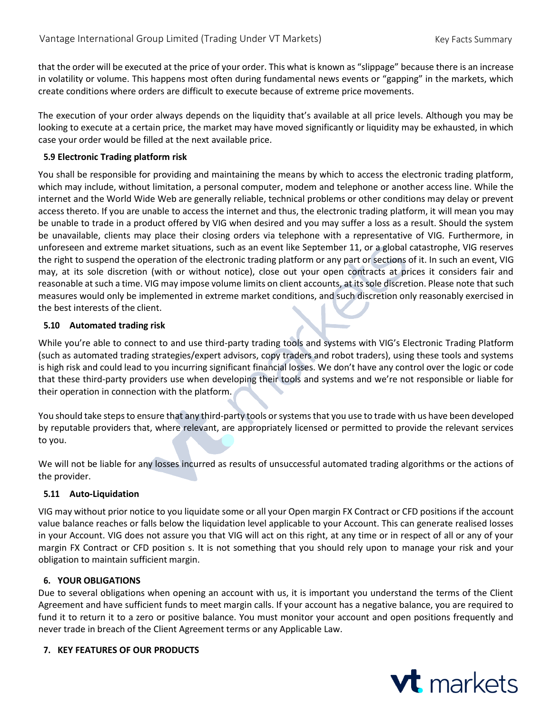that the order will be executed at the price of your order. This what is known as "slippage" because there is an increase in volatility or volume. This happens most often during fundamental news events or "gapping" in the markets, which create conditions where orders are difficult to execute because of extreme price movements.

The execution of your order always depends on the liquidity that's available at all price levels. Although you may be looking to execute at a certain price, the market may have moved significantly or liquidity may be exhausted, in which case your order would be filled at the next available price.

## **5.9 Electronic Trading platform risk**

You shall be responsible for providing and maintaining the means by which to access the electronic trading platform, which may include, without limitation, a personal computer, modem and telephone or another access line. While the internet and the World Wide Web are generally reliable, technical problems or other conditions may delay or prevent access thereto. If you are unable to access the internet and thus, the electronic trading platform, it will mean you may be unable to trade in a product offered by VIG when desired and you may suffer a loss as a result. Should the system be unavailable, clients may place their closing orders via telephone with a representative of VIG*.* Furthermore, in unforeseen and extreme market situations, such as an event like September 11, or a global catastrophe, VIG reserves the right to suspend the operation of the electronic trading platform or any part or sections of it. In such an event, VIG may, at its sole discretion (with or without notice), close out your open contracts at prices it considers fair and reasonable at such a time. VIG may impose volume limits on client accounts, at its sole discretion. Please note that such measures would only be implemented in extreme market conditions, and such discretion only reasonably exercised in the best interests of the client.

## **5.10 Automated trading risk**

While you're able to connect to and use third-party trading tools and systems with VIG's Electronic Trading Platform (such as automated trading strategies/expert advisors, copy traders and robot traders), using these tools and systems is high risk and could lead to you incurring significant financial losses. We don't have any control over the logic or code that these third-party providers use when developing their tools and systems and we're not responsible or liable for their operation in connection with the platform.

You should take steps to ensure that any third-party tools or systems that you use to trade with us have been developed by reputable providers that, where relevant, are appropriately licensed or permitted to provide the relevant services to you.

We will not be liable for any losses incurred as results of unsuccessful automated trading algorithms or the actions of the provider.

## **5.11 Auto-Liquidation**

VIG may without prior notice to you liquidate some or all your Open margin FX Contract or CFD positions if the account value balance reaches or falls below the liquidation level applicable to your Account. This can generate realised losses in your Account. VIG does not assure you that VIG will act on this right, at any time or in respect of all or any of your margin FX Contract or CFD position s. It is not something that you should rely upon to manage your risk and your obligation to maintain sufficient margin.

#### **6. YOUR OBLIGATIONS**

Due to several obligations when opening an account with us, it is important you understand the terms of the Client Agreement and have sufficient funds to meet margin calls. If your account has a negative balance, you are required to fund it to return it to a zero or positive balance. You must monitor your account and open positions frequently and never trade in breach of the Client Agreement terms or any Applicable Law.

#### **7. KEY FEATURES OF OUR PRODUCTS**

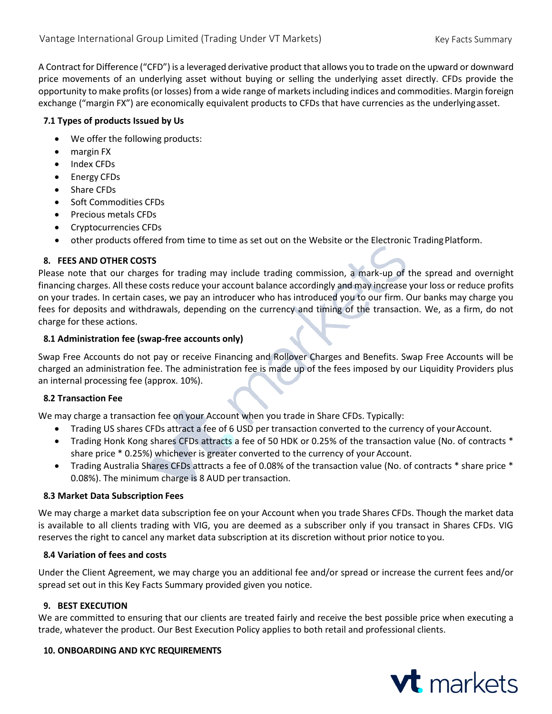A Contract for Difference ("CFD") is a leveraged derivative product that allows you to trade on the upward or downward price movements of an underlying asset without buying or selling the underlying asset directly. CFDs provide the opportunity to make profits (or losses) from a wide range of markets including indices and commodities. Margin foreign exchange ("margin FX") are economically equivalent products to CFDs that have currencies as the underlyingasset.

## **7.1 Types of products Issued by Us**

- We offer the following products:
- margin FX
- Index CFDs
- Energy CFDs
- Share CFDs
- Soft Commodities CFDs
- Precious metals CFDs
- Cryptocurrencies CFDs
- other products offered from time to time as set out on the Website or the Electronic TradingPlatform.

## **8. FEES AND OTHER COSTS**

Please note that our charges for trading may include trading commission, a mark-up of the spread and overnight financing charges. All these costs reduce your account balance accordingly and may increase your loss or reduce profits on your trades. In certain cases, we pay an introducer who has introduced you to our firm. Our banks may charge you fees for deposits and withdrawals, depending on the currency and timing of the transaction. We, as a firm, do not charge for these actions.

#### **8.1 Administration fee (swap-free accounts only)**

Swap Free Accounts do not pay or receive Financing and Rollover Charges and Benefits. Swap Free Accounts will be charged an administration fee. The administration fee is made up of the fees imposed by our Liquidity Providers plus an internal processing fee (approx. 10%).

#### **8.2 Transaction Fee**

We may charge a transaction fee on your Account when you trade in Share CFDs. Typically:

- Trading US shares CFDs attract a fee of 6 USD per transaction converted to the currency of your Account.
- Trading Honk Kong shares CFDs attracts a fee of 50 HDK or 0.25% of the transaction value (No. of contracts \* share price \* 0.25%) whichever is greater converted to the currency of your Account.
- Trading Australia Shares CFDs attracts a fee of 0.08% of the transaction value (No. of contracts \* share price \* 0.08%). The minimum charge is 8 AUD per transaction.

#### **8.3 Market Data Subscription Fees**

We may charge a market data subscription fee on your Account when you trade Shares CFDs. Though the market data is available to all clients trading with VIG, you are deemed as a subscriber only if you transact in Shares CFDs. VIG reserves the right to cancel any market data subscription at its discretion without prior notice to you.

#### **8.4 Variation of fees and costs**

Under the Client Agreement, we may charge you an additional fee and/or spread or increase the current fees and/or spread set out in this Key Facts Summary provided given you notice.

#### **9. BEST EXECUTION**

We are committed to ensuring that our clients are treated fairly and receive the best possible price when executing a trade, whatever the product. Our Best Execution Policy applies to both retail and professional clients.

#### **10. ONBOARDING AND KYC REQUIREMENTS**